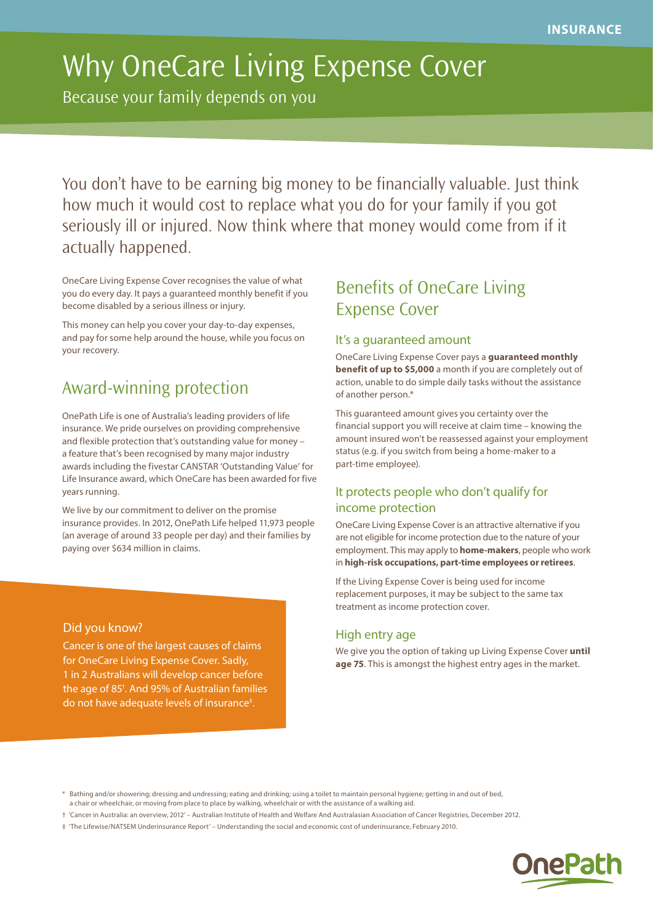# Why OneCare Living Expense Cover

Because your family depends on you

You don't have to be earning big money to be financially valuable. Just think how much it would cost to replace what you do for your family if you got seriously ill or injured. Now think where that money would come from if it actually happened.

OneCare Living Expense Cover recognises the value of what you do every day. It pays a guaranteed monthly benefit if you become disabled by a serious illness or injury.

This money can help you cover your day-to-day expenses, and pay for some help around the house, while you focus on your recovery.

# Award-winning protection

OnePath Life is one of Australia's leading providers of life insurance. We pride ourselves on providing comprehensive and flexible protection that's outstanding value for money – a feature that's been recognised by many major industry awards including the fivestar CANSTAR 'Outstanding Value' for Life Insurance award, which OneCare has been awarded for five years running.

We live by our commitment to deliver on the promise insurance provides. In 2012, OnePath Life helped 11,973 people (an average of around 33 people per day) and their families by paying over \$634 million in claims.

### Did you know?

Cancer is one of the largest causes of claims for OneCare Living Expense Cover. Sadly, 1 in 2 Australians will develop cancer before the age of 85† . And 95% of Australian families do not have adequate levels of insurance‡ .

## Benefits of OneCare Living Expense Cover

### It's a guaranteed amount

OneCare Living Expense Cover pays a **guaranteed monthly benefit of up to \$5,000** a month if you are completely out of action, unable to do simple daily tasks without the assistance of another person.\*

This guaranteed amount gives you certainty over the financial support you will receive at claim time – knowing the amount insured won't be reassessed against your employment status (e.g. if you switch from being a home-maker to a part-time employee).

### It protects people who don't qualify for income protection

OneCare Living Expense Cover is an attractive alternative if you are not eligible for income protection due to the nature of your employment. This may apply to **home-makers**, people who work in **high-risk occupations, part-time employees or retirees**.

If the Living Expense Cover is being used for income replacement purposes, it may be subject to the same tax treatment as income protection cover.

### High entry age

We give you the option of taking up Living Expense Cover **until age 75**. This is amongst the highest entry ages in the market.

<sup>‡ &#</sup>x27;The Lifewise/NATSEM Underinsurance Report' – Understanding the social and economic cost of underinsurance, February 2010.



<sup>\*</sup> Bathing and/or showering; dressing and undressing; eating and drinking; using a toilet to maintain personal hygiene; getting in and out of bed, a chair or wheelchair, or moving from place to place by walking, wheelchair or with the assistance of a walking aid.

<sup>† &#</sup>x27;Cancer in Australia: an overview, 2012' – Australian Institute of Health and Welfare And Australasian Association of Cancer Registries, December 2012.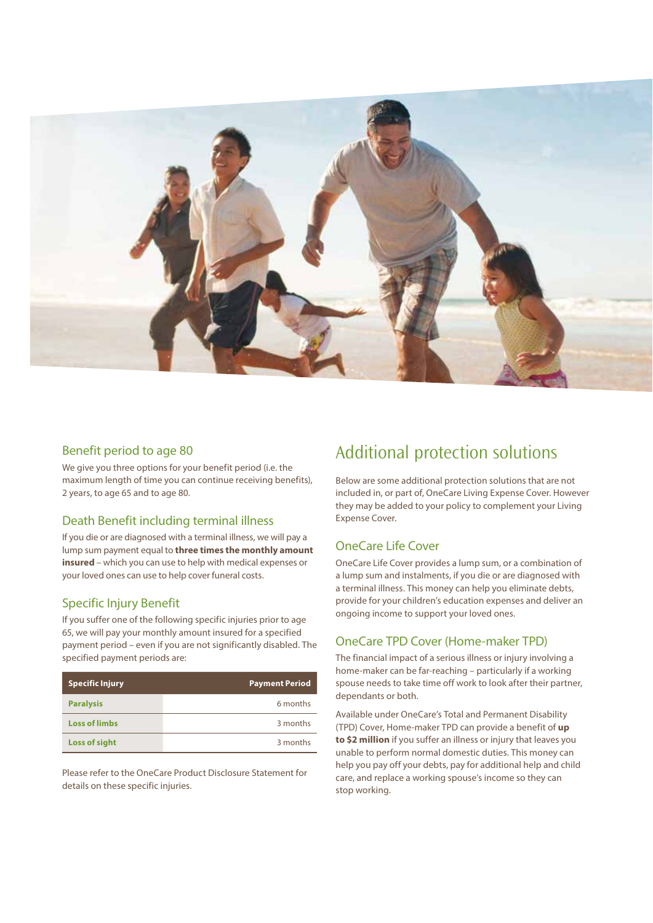

### Benefit period to age 80

We give you three options for your benefit period (i.e. the maximum length of time you can continue receiving benefits), 2 years, to age 65 and to age 80.

### Death Benefit including terminal illness

If you die or are diagnosed with a terminal illness, we will pay a lump sum payment equal to **three times the monthly amount insured** – which you can use to help with medical expenses or your loved ones can use to help cover funeral costs.

### Specific Injury Benefit

If you suffer one of the following specific injuries prior to age 65, we will pay your monthly amount insured for a specified payment period – even if you are not significantly disabled. The specified payment periods are:

| <b>Specific Injury</b> | <b>Payment Period</b> |
|------------------------|-----------------------|
| <b>Paralysis</b>       | 6 months              |
| <b>Loss of limbs</b>   | 3 months              |
| <b>Loss of sight</b>   | 3 months              |

Please refer to the OneCare Product Disclosure Statement for details on these specific injuries.

# Additional protection solutions

Below are some additional protection solutions that are not included in, or part of, OneCare Living Expense Cover. However they may be added to your policy to complement your Living Expense Cover.

### OneCare Life Cover

OneCare Life Cover provides a lump sum, or a combination of a lump sum and instalments, if you die or are diagnosed with a terminal illness. This money can help you eliminate debts, provide for your children's education expenses and deliver an ongoing income to support your loved ones.

### OneCare TPD Cover (Home-maker TPD)

The financial impact of a serious illness or injury involving a home-maker can be far-reaching – particularly if a working spouse needs to take time off work to look after their partner, dependants or both.

Available under OneCare's Total and Permanent Disability (TPD) Cover, Home-maker TPD can provide a benefit of **up to \$2 million** if you suffer an illness or injury that leaves you unable to perform normal domestic duties. This money can help you pay off your debts, pay for additional help and child care, and replace a working spouse's income so they can stop working.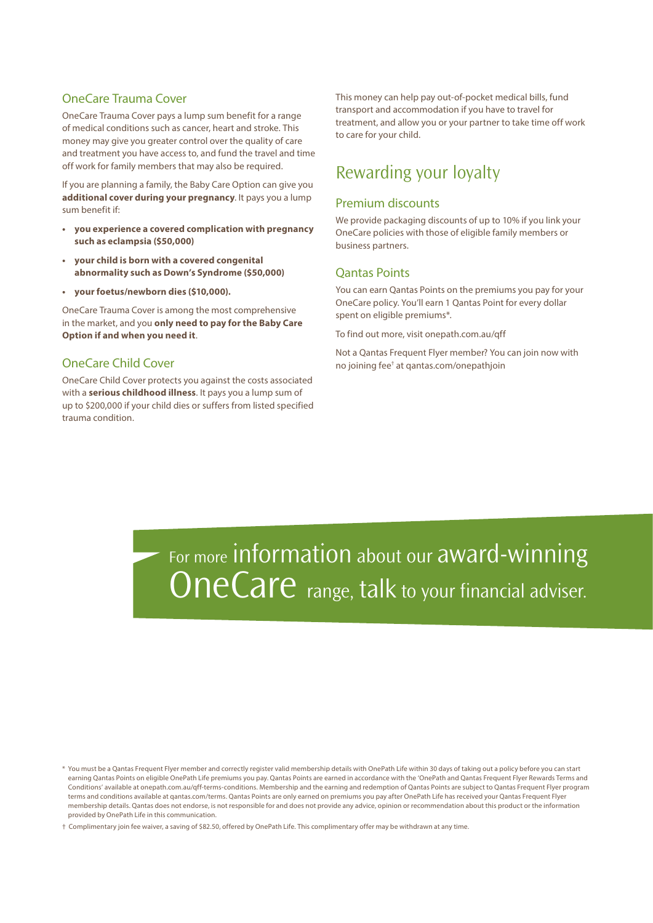### OneCare Trauma Cover

OneCare Trauma Cover pays a lump sum benefit for a range of medical conditions such as cancer, heart and stroke. This money may give you greater control over the quality of care and treatment you have access to, and fund the travel and time off work for family members that may also be required.

If you are planning a family, the Baby Care Option can give you **additional cover during your pregnancy**. It pays you a lump sum benefit if:

- **• you experience a covered complication with pregnancy such as eclampsia (\$50,000)**
- **your child is born with a covered congenital abnormality such as Down's Syndrome (\$50,000)**
- **• your foetus/newborn dies (\$10,000).**

OneCare Trauma Cover is among the most comprehensive in the market, and you **only need to pay for the Baby Care Option if and when you need it**.

### OneCare Child Cover

OneCare Child Cover protects you against the costs associated with a **serious childhood illness**. It pays you a lump sum of up to \$200,000 if your child dies or suffers from listed specified trauma condition.

This money can help pay out-of-pocket medical bills, fund transport and accommodation if you have to travel for treatment, and allow you or your partner to take time off work to care for your child.

### Rewarding your loyalty

#### Premium discounts

We provide packaging discounts of up to 10% if you link your OneCare policies with those of eligible family members or business partners.

#### Qantas Points

You can earn Qantas Points on the premiums you pay for your OneCare policy. You'll earn 1 Qantas Point for every dollar spent on eligible premiums\*.

To find out more, visit onepath.com.au/qff

Not a Qantas Frequent Flyer member? You can join now with no joining fee† at qantas.com/onepathjoin

For more information about our award-winning **OneCare** range, talk to your financial adviser.

\* You must be a Qantas Frequent Flyer member and correctly register valid membership details with OnePath Life within 30 days of taking out a policy before you can start earning Qantas Points on eligible OnePath Life premiums you pay. Qantas Points are earned in accordance with the 'OnePath and Qantas Frequent Flyer Rewards Terms and Conditions' available at onepath.com.au/qff-terms-conditions. Membership and the earning and redemption of Qantas Points are subject to Qantas Frequent Flyer program terms and conditions available at qantas.com/terms. Qantas Points are only earned on premiums you pay after OnePath Life has received your Qantas Frequent Flyer membership details. Qantas does not endorse, is not responsible for and does not provide any advice, opinion or recommendation about this product or the information provided by OnePath Life in this communication.

† Complimentary join fee waiver, a saving of \$82.50, offered by OnePath Life. This complimentary offer may be withdrawn at any time.